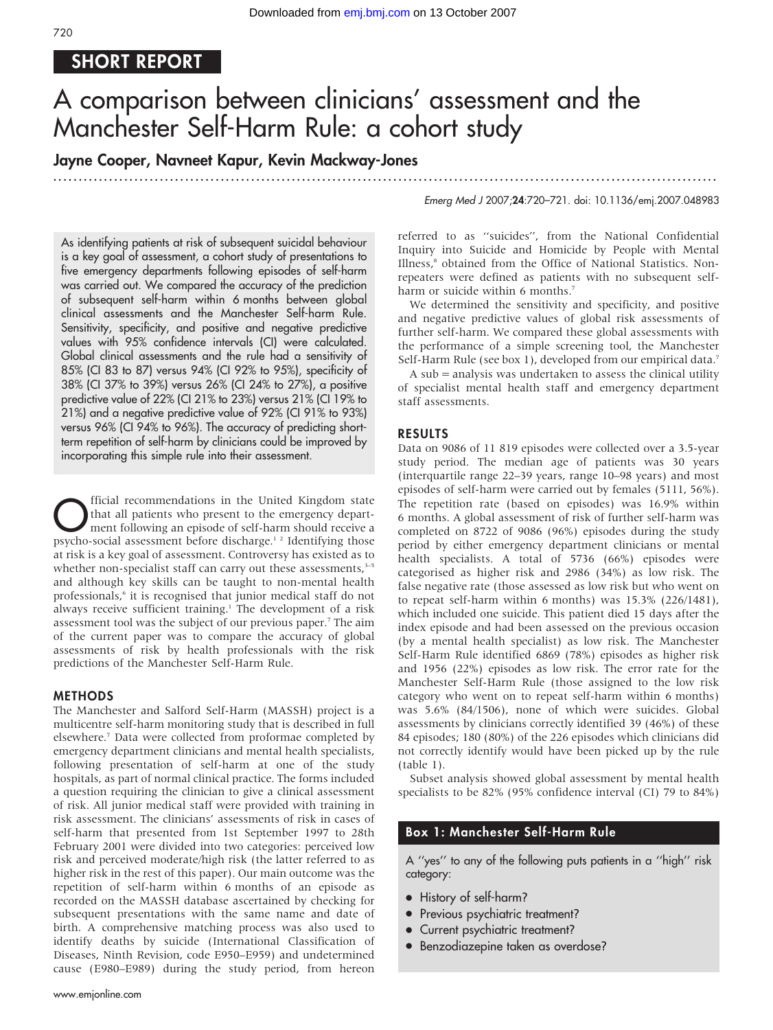# SHORT REPORT

# A comparison between clinicians' assessment and the Manchester Self-Harm Rule: a cohort study

## Jayne Cooper, Navneet Kapur, Kevin Mackway-Jones

............................................................... ............................................................... .....

Emerg Med J 2007;24:720–721. doi: 10.1136/emj.2007.048983

As identifying patients at risk of subsequent suicidal behaviour is a key goal of assessment, a cohort study of presentations to five emergency departments following episodes of self-harm was carried out. We compared the accuracy of the prediction of subsequent self-harm within 6 months between global clinical assessments and the Manchester Self-harm Rule. Sensitivity, specificity, and positive and negative predictive values with 95% confidence intervals (CI) were calculated. Global clinical assessments and the rule had a sensitivity of 85% (CI 83 to 87) versus 94% (CI 92% to 95%), specificity of 38% (CI 37% to 39%) versus 26% (CI 24% to 27%), a positive predictive value of 22% (CI 21% to 23%) versus 21% (CI 19% to 21%) and a negative predictive value of 92% (CI 91% to 93%) versus 96% (CI 94% to 96%). The accuracy of predicting shortterm repetition of self-harm by clinicians could be improved by incorporating this simple rule into their assessment.

**C** fficial recommendations in the United Kingdom state<br>that all patients who present to the emergency depart-<br>ment following an episode of self-harm should receive a<br>newsho social accessment hefore discharge  $^{12}$  Identi that all patients who present to the emergency department following an episode of self-harm should receive a psycho-social assessment before discharge.<sup>12</sup> Identifying those at risk is a key goal of assessment. Controversy has existed as to whether non-specialist staff can carry out these assessments,<sup>3-5</sup> and although key skills can be taught to non-mental health professionals,<sup>6</sup> it is recognised that junior medical staff do not always receive sufficient training.<sup>1</sup> The development of a risk assessment tool was the subject of our previous paper.7 The aim of the current paper was to compare the accuracy of global assessments of risk by health professionals with the risk predictions of the Manchester Self-Harm Rule.

#### METHODS

The Manchester and Salford Self-Harm (MASSH) project is a multicentre self-harm monitoring study that is described in full elsewhere.7 Data were collected from proformae completed by emergency department clinicians and mental health specialists, following presentation of self-harm at one of the study hospitals, as part of normal clinical practice. The forms included a question requiring the clinician to give a clinical assessment of risk. All junior medical staff were provided with training in risk assessment. The clinicians' assessments of risk in cases of self-harm that presented from 1st September 1997 to 28th February 2001 were divided into two categories: perceived low risk and perceived moderate/high risk (the latter referred to as higher risk in the rest of this paper). Our main outcome was the repetition of self-harm within 6 months of an episode as recorded on the MASSH database ascertained by checking for subsequent presentations with the same name and date of birth. A comprehensive matching process was also used to identify deaths by suicide (International Classification of Diseases, Ninth Revision, code E950–E959) and undetermined cause (E980–E989) during the study period, from hereon referred to as ''suicides'', from the National Confidential Inquiry into Suicide and Homicide by People with Mental Illness,<sup>8</sup> obtained from the Office of National Statistics. Nonrepeaters were defined as patients with no subsequent selfharm or suicide within 6 months.<sup>7</sup>

We determined the sensitivity and specificity, and positive and negative predictive values of global risk assessments of further self-harm. We compared these global assessments with the performance of a simple screening tool, the Manchester Self-Harm Rule (see box 1), developed from our empirical data.<sup>7</sup>

A sub = analysis was undertaken to assess the clinical utility of specialist mental health staff and emergency department staff assessments.

#### RESULTS

Data on 9086 of 11 819 episodes were collected over a 3.5-year study period. The median age of patients was 30 years (interquartile range 22–39 years, range 10–98 years) and most episodes of self-harm were carried out by females (5111, 56%). The repetition rate (based on episodes) was 16.9% within 6 months. A global assessment of risk of further self-harm was completed on 8722 of 9086 (96%) episodes during the study period by either emergency department clinicians or mental health specialists. A total of 5736 (66%) episodes were categorised as higher risk and 2986 (34%) as low risk. The false negative rate (those assessed as low risk but who went on to repeat self-harm within 6 months) was 15.3% (226/1481), which included one suicide. This patient died 15 days after the index episode and had been assessed on the previous occasion (by a mental health specialist) as low risk. The Manchester Self-Harm Rule identified 6869 (78%) episodes as higher risk and 1956 (22%) episodes as low risk. The error rate for the Manchester Self-Harm Rule (those assigned to the low risk category who went on to repeat self-harm within 6 months) was 5.6% (84/1506), none of which were suicides. Global assessments by clinicians correctly identified 39 (46%) of these 84 episodes; 180 (80%) of the 226 episodes which clinicians did not correctly identify would have been picked up by the rule (table 1).

Subset analysis showed global assessment by mental health specialists to be 82% (95% confidence interval (CI) 79 to 84%)

### Box 1: Manchester Self-Harm Rule

A ''yes'' to any of the following puts patients in a ''high'' risk category:

- History of self-harm?
- Previous psychiatric treatment?
- Current psychiatric treatment?
- Benzodiazepine taken as overdose?